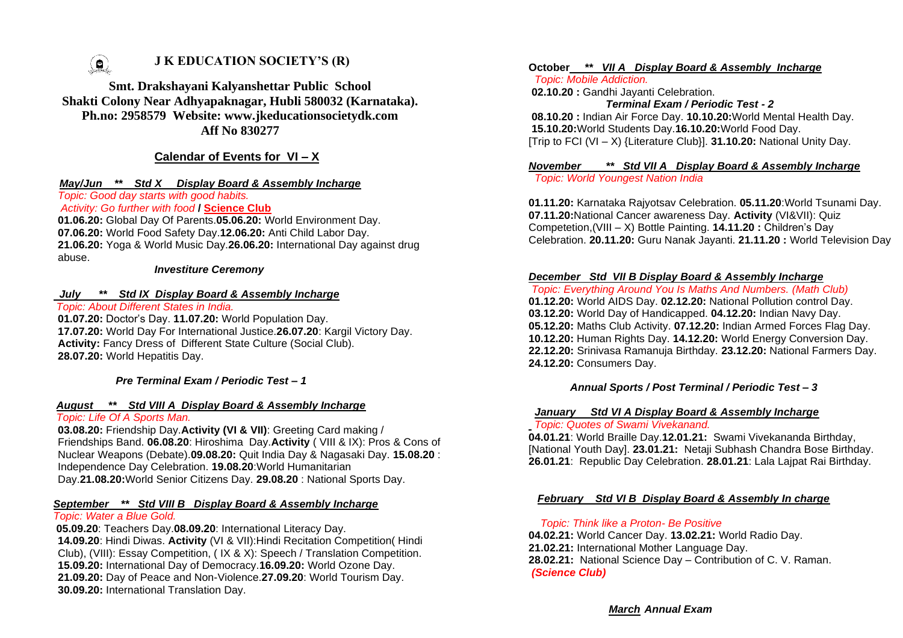

# **J K EDUCATION SOCIETY'S (R)**

**Smt. Drakshayani Kalyanshettar Public School Shakti Colony Near Adhyapaknagar, Hubli 580032 (Karnataka). Ph.no: 2958579 Website: www.jkeducationsocietydk.com Aff No 830277**

# **Calendar of Events for VI – X**

#### *May/Jun \*\* Std X Display Board & Assembly Incharge*

*Topic: Good day starts with good habits.*

# *Activity: Go further with food* **/ Science Club**

**01.06.20:** Global Day Of Parents.**05.06.20:** World Environment Day. **07.06.20:** World Food Safety Day.**12.06.20:** Anti Child Labor Day. **21.06.20:** Yoga & World Music Day.**26.06.20:** International Day against drug abuse.

#### *Investiture Ceremony*

# *July \*\* Std IX Display Board & Assembly Incharge*

*Topic: About Different States in India.*

**01.07.20:** Doctor's Day. **11.07.20:** World Population Day. **17.07.20:** World Day For International Justice.**26.07.20**: Kargil Victory Day. **Activity:** Fancy Dress of Different State Culture (Social Club). **28.07.20:** World Hepatitis Day.

*Pre Terminal Exam / Periodic Test – 1*

#### *August \*\* Std VIII A Display Board & Assembly Incharge*

# *Topic: Life Of A Sports Man.*

**03.08.20:** Friendship Day.**Activity (VI & VII)**: Greeting Card making / Friendships Band. **06.08.20**: Hiroshima Day.**Activity** ( VIII & IX): Pros & Cons of Nuclear Weapons (Debate).**09.08.20:** Quit India Day & Nagasaki Day. **15.08.20** : Independence Day Celebration. **19.08.20**:World Humanitarian Day.**21.08.20:**World Senior Citizens Day. **29.08.20** : National Sports Day.

#### *September \*\* Std VIII B Display Board & Assembly Incharge Topic: Water a Blue Gold.*

**05.09.20**: Teachers Day.**08.09.20**: International Literacy Day. **14.09.20**: Hindi Diwas. **Activity** (VI & VII):Hindi Recitation Competition( Hindi Club), (VIII): Essay Competition, ( IX & X): Speech / Translation Competition. **15.09.20:** International Day of Democracy.**16.09.20:** World Ozone Day. **21.09.20:** Day of Peace and Non-Violence.**27.09.20**: World Tourism Day. **30.09.20:** International Translation Day.

#### **October** *\*\* VII A Display Board & Assembly Incharge*

*Topic: Mobile Addiction.*

**02.10.20 :** Gandhi Jayanti Celebration.

*Terminal Exam / Periodic Test - 2* 

 **08.10.20 :** Indian Air Force Day. **10.10.20:**World Mental Health Day. **15.10.20:**World Students Day.**16.10.20:**World Food Day. [Trip to FCI (VI – X) {Literature Club}]. **31.10.20:** National Unity Day.

#### *November \*\* Std VII A Display Board & Assembly Incharge* *Topic: World Youngest Nation India*

**01.11.20:** Karnataka Rajyotsav Celebration. **05.11.20**:World Tsunami Day. **07.11.20:**National Cancer awareness Day. **Activity** (VI&VII): Quiz Competetion,(VIII – X) Bottle Painting. **14.11.20 :** Children's Day Celebration. **20.11.20:** Guru Nanak Jayanti. **21.11.20 :** World Television Day

# *December Std VII B Display Board & Assembly Incharge*

*Topic: Everything Around You Is Maths And Numbers. (Math Club)* **01.12.20:** World AIDS Day. **02.12.20:** National Pollution control Day. **03.12.20:** World Day of Handicapped. **04.12.20:** Indian Navy Day. **05.12.20:** Maths Club Activity. **07.12.20:** Indian Armed Forces Flag Day. **10.12.20:** Human Rights Day. **14.12.20:** World Energy Conversion Day. **22.12.20:** Srinivasa Ramanuja Birthday. **23.12.20:** National Farmers Day. **24.12.20:** Consumers Day.

#### *Annual Sports / Post Terminal / Periodic Test – 3*

#### *January Std VI A Display Board & Assembly Incharge Topic: Quotes of Swami Vivekanand.*

**04.01.21**: World Braille Day.**12.01.21:** Swami Vivekananda Birthday, [National Youth Day]. **23.01.21:** Netaji Subhash Chandra Bose Birthday. **26.01.21**: Republic Day Celebration. **28.01.21**: Lala Lajpat Rai Birthday.

# *February Std VI B Display Board & Assembly In charge*

#### *Topic: Think like a Proton- Be Positive*

**04.02.21:** World Cancer Day. **13.02.21:** World Radio Day. **21.02.21:** International Mother Language Day. **28.02.21:** National Science Day – Contribution of C. V. Raman. *(Science Club)*

*March Annual Exam*